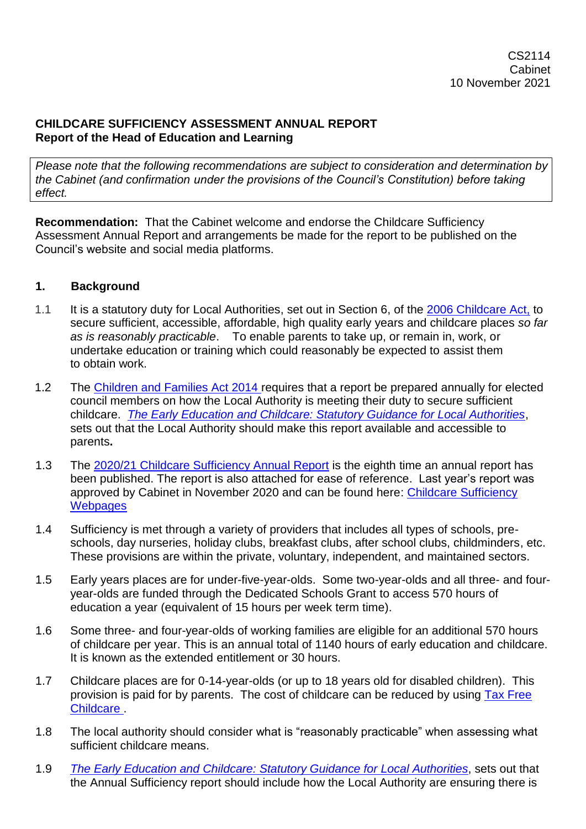#### **CHILDCARE SUFFICIENCY ASSESSMENT ANNUAL REPORT Report of the Head of Education and Learning**

*Please note that the following recommendations are subject to consideration and determination by the Cabinet (and confirmation under the provisions of the Council's Constitution) before taking effect.*

**Recommendation:** That the Cabinet welcome and endorse the Childcare Sufficiency Assessment Annual Report and arrangements be made for the report to be published on the Council's website and social media platforms.

## **1. Background**

- 1.1 It is a statutory duty for Local Authorities, set out in Section 6, of the [2006 Childcare Act,](https://www.legislation.gov.uk/ukpga/2006/21/contents) to secure sufficient, accessible, affordable, high quality early years and childcare places *so far as is reasonably practicable*. To enable parents to take up, or remain in, work, or undertake education or training which could reasonably be expected to assist them to obtain work.
- 1.2 The [Children and Families Act 2014 r](https://www.legislation.gov.uk/ukpga/2014/6/contents/enacted)equires that a report be prepared annually for elected council members on how the Local Authority is meeting their duty to secure sufficient childcare. *[The Early Education and Childcare: Statutory Guidance for Local Authorities](https://www.gov.uk/government/publications/early-education-and-childcare--2)*, sets out that the Local Authority should make this report available and accessible to parents**.**
- 1.3 The [2020/21 Childcare Sufficiency Annual Report](https://devoncc.sharepoint.com/:w:/s/PublicDocs/Education/EW6B6qG1Um9KpXp0sNXlDgUB9j06IYrgieDbWRZCRjGc1g?e=kRogOA) is the eighth time an annual report has been published. The report is also attached for ease of reference. Last year's report was approved by Cabinet in November 2020 and can be found here: [Childcare](https://new.devon.gov.uk/eycs/for-providers/childcare-sufficiency/childcare-sufficiency-assessment) Sufficiency **Webpages**
- 1.4 Sufficiency is met through a variety of providers that includes all types of schools, preschools, day nurseries, holiday clubs, breakfast clubs, after school clubs, childminders, etc. These provisions are within the private, voluntary, independent, and maintained sectors.
- 1.5 Early years places are for under-five-year-olds. Some two-year-olds and all three- and fouryear-olds are funded through the Dedicated Schools Grant to access 570 hours of education a year (equivalent of 15 hours per week term time).
- 1.6 Some three- and four-year-olds of working families are eligible for an additional 570 hours of childcare per year. This is an annual total of 1140 hours of early education and childcare. It is known as the extended entitlement or 30 hours.
- 1.7 Childcare places are for 0-14-year-olds (or up to 18 years old for disabled children). This provision is paid for by parents. The cost of childcare can be reduced by using Tax [Free](https://www.gov.uk/tax-free-childcare)  [Childcare .](https://www.gov.uk/tax-free-childcare)
- 1.8 The local authority should consider what is "reasonably practicable" when assessing what sufficient childcare means.
- 1.9 *The Early Education and Childcare: [Statutory Guidance for Local Authorities](https://www.gov.uk/government/publications/early-education-and-childcare--2)*, sets out that the Annual Sufficiency report should include how the Local Authority are ensuring there is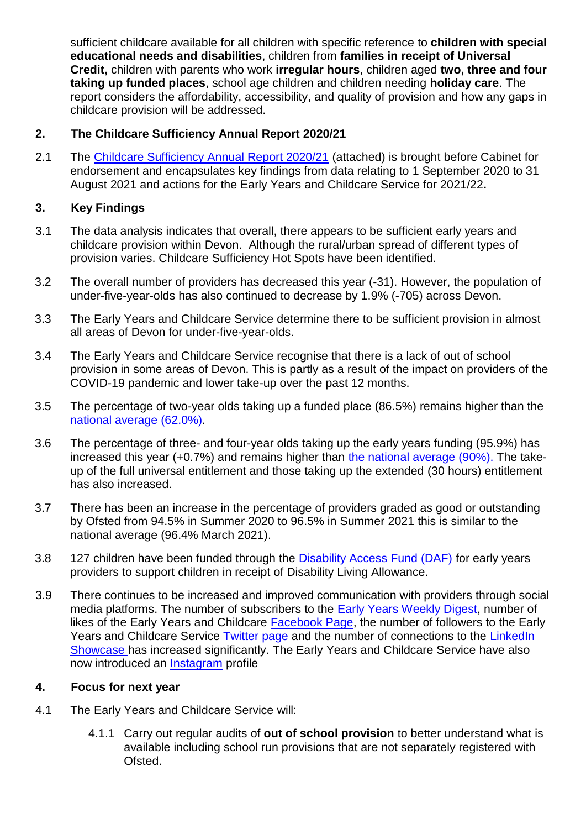sufficient childcare available for all children with specific reference to **children with special educational needs and disabilities**, children from **families in receipt of Universal Credit,** children with parents who work **irregular hours**, children aged **two, three and four taking up funded places**, school age children and children needing **holiday care**. The report considers the affordability, accessibility, and quality of provision and how any gaps in childcare provision will be addressed.

# **2. The Childcare Sufficiency Annual Report 2020/21**

2.1 The [Childcare Sufficiency Annual Report 2020/21](https://devoncc.sharepoint.com/:w:/s/PublicDocs/Education/EW6B6qG1Um9KpXp0sNXlDgUB9j06IYrgieDbWRZCRjGc1g?e=kRogOA) (attached) is brought before Cabinet for endorsement and encapsulates key findings from data relating to 1 September 2020 to 31 August 2021 and actions for the Early Years and Childcare Service for 2021/22**.**

# **3. Key Findings**

- 3.1 The data analysis indicates that overall, there appears to be sufficient early years and childcare provision within Devon. Although the rural/urban spread of different types of provision varies. Childcare Sufficiency Hot Spots have been identified.
- 3.2 The overall number of providers has decreased this year (-31). However, the population of under-five-year-olds has also continued to decrease by 1.9% (-705) across Devon.
- 3.3 The Early Years and Childcare Service determine there to be sufficient provision in almost all areas of Devon for under-five-year-olds.
- 3.4 The Early Years and Childcare Service recognise that there is a lack of out of school provision in some areas of Devon. This is partly as a result of the impact on providers of the COVID-19 pandemic and lower take-up over the past 12 months.
- 3.5 The percentage of two-year olds taking up a funded place (86.5%) remains higher than the [national average \(62.0%\).](https://explore-education-statistics.service.gov.uk/find-statistics/education-provision-children-under-5)
- 3.6 The percentage of three- and four-year olds taking up the early years funding (95.9%) has increased this year (+0.7%) and remains higher than [the national average \(90%\).](https://explore-education-statistics.service.gov.uk/find-statistics/education-provision-children-under-5) The takeup of the full universal entitlement and those taking up the extended (30 hours) entitlement has also increased.
- 3.7 There has been an increase in the percentage of providers graded as good or outstanding by Ofsted from 94.5% in Summer 2020 to 96.5% in Summer 2021 this is similar to the national average (96.4% March 2021).
- 3.8 127 children have been funded through the [Disability Access Fund \(DAF\)](https://new.devon.gov.uk/eycs/for-providers/business-finance-and-funding/disability-access-fund-daf/) for early years providers to support children in receipt of Disability Living Allowance.
- 3.9 There continues to be increased and improved communication with providers through social media platforms. The number of subscribers to the [Early Years Weekly Digest,](https://new.devon.gov.uk/eycs/whats-new/) number of likes of the Early Years and Childcare [Facebook Page,](https://www.facebook.com/devoneycs/) the number of followers to the Early Years and Childcare Service [Twitter page](https://twitter.com/devoneycs) and the number of connections to the LinkedIn [Showcase](https://www.linkedin.com/showcase/devon-early-years-and-childcare-service/) has increased significantly. The Early Years and Childcare Service have also now introduced an [Instagram](https://www.instagram.com/devon_earlyyears/) profile

## **4. Focus for next year**

- 4.1 The Early Years and Childcare Service will:
	- 4.1.1 Carry out regular audits of **out of school provision** to better understand what is available including school run provisions that are not separately registered with Ofsted.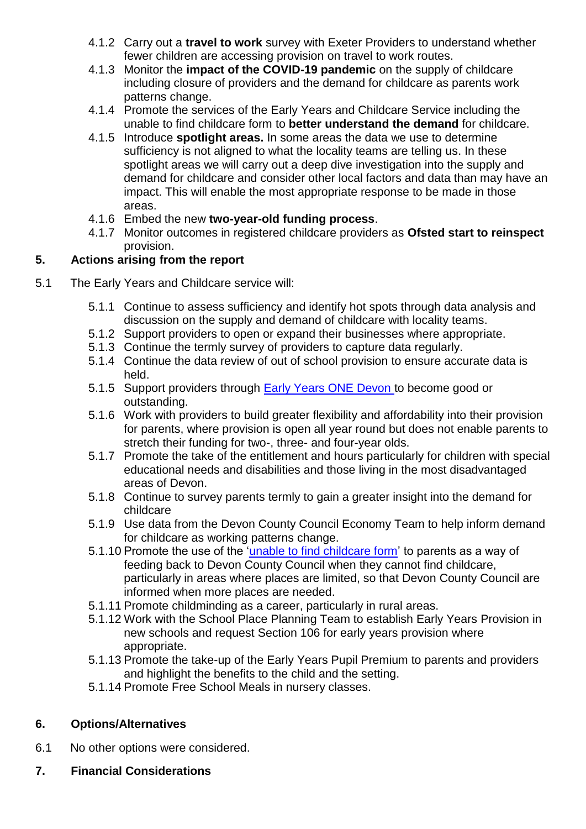- 4.1.2 Carry out a **travel to work** survey with Exeter Providers to understand whether fewer children are accessing provision on travel to work routes.
- 4.1.3 Monitor the **impact of the COVID-19 pandemic** on the supply of childcare including closure of providers and the demand for childcare as parents work patterns change.
- 4.1.4 Promote the services of the Early Years and Childcare Service including the unable to find childcare form to **better understand the demand** for childcare.
- 4.1.5 Introduce **spotlight areas.** In some areas the data we use to determine sufficiency is not aligned to what the locality teams are telling us. In these spotlight areas we will carry out a deep dive investigation into the supply and demand for childcare and consider other local factors and data than may have an impact. This will enable the most appropriate response to be made in those areas.
- 4.1.6 Embed the new **two-year-old funding process**.
- 4.1.7 Monitor outcomes in registered childcare providers as **Ofsted start to reinspect** provision.

# **5. Actions arising from the report**

- 5.1 The Early Years and Childcare service will:
	- 5.1.1 Continue to assess sufficiency and identify hot spots through data analysis and discussion on the supply and demand of childcare with locality teams.
	- 5.1.2 Support providers to open or expand their businesses where appropriate.
	- 5.1.3 Continue the termly survey of providers to capture data regularly.
	- 5.1.4 Continue the data review of out of school provision to ensure accurate data is held.
	- 5.1.5 Support providers through [Early Years ONE Devon](https://devoncc.sharepoint.com/:b:/s/PublicDocs/Education/EZoGVHWoFklPtsGdQsT0f5cB1s8U1NjL20vwab1UaGFzjg?e=86xtzH) to become good or outstanding.
	- 5.1.6 Work with providers to build greater flexibility and affordability into their provision for parents, where provision is open all year round but does not enable parents to stretch their funding for two-, three- and four-year olds.
	- 5.1.7 Promote the take of the entitlement and hours particularly for children with special educational needs and disabilities and those living in the most disadvantaged areas of Devon.
	- 5.1.8 Continue to survey parents termly to gain a greater insight into the demand for childcare
	- 5.1.9 Use data from the Devon County Council Economy Team to help inform demand for childcare as working patterns change.
	- 5.1.10 Promote the use of the ['unable to find childcare form'](https://www.devon.gov.uk/educationandfamilies/early-years-and-childcare/childcare/childcare-brokerage/unable-to-find-suitable-childcare) to parents as a way of feeding back to Devon County Council when they cannot find childcare, particularly in areas where places are limited, so that Devon County Council are informed when more places are needed.
	- 5.1.11 Promote childminding as a career, particularly in rural areas.
	- 5.1.12 Work with the School Place Planning Team to establish Early Years Provision in new schools and request Section 106 for early years provision where appropriate.
	- 5.1.13 Promote the take-up of the Early Years Pupil Premium to parents and providers and highlight the benefits to the child and the setting.
	- 5.1.14 Promote Free School Meals in nursery classes.

## **6. Options/Alternatives**

- 6.1 No other options were considered.
- **7. Financial Considerations**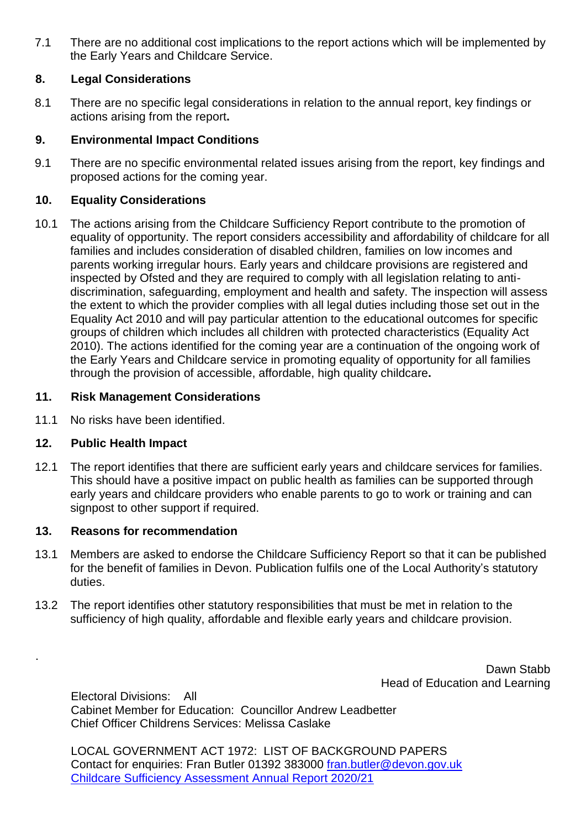7.1 There are no additional cost implications to the report actions which will be implemented by the Early Years and Childcare Service.

## **8. Legal Considerations**

8.1 There are no specific legal considerations in relation to the annual report, key findings or actions arising from the report**.** 

# **9. Environmental Impact Conditions**

9.1 There are no specific environmental related issues arising from the report, key findings and proposed actions for the coming year.

# **10. Equality Considerations**

10.1 The actions arising from the Childcare Sufficiency Report contribute to the promotion of equality of opportunity. The report considers accessibility and affordability of childcare for all families and includes consideration of disabled children, families on low incomes and parents working irregular hours. Early years and childcare provisions are registered and inspected by Ofsted and they are required to comply with all legislation relating to antidiscrimination, safeguarding, employment and health and safety. The inspection will assess the extent to which the provider complies with all legal duties including those set out in the Equality Act 2010 and will pay particular attention to the educational outcomes for specific groups of children which includes all children with protected characteristics (Equality Act 2010). The actions identified for the coming year are a continuation of the ongoing work of the Early Years and Childcare service in promoting equality of opportunity for all families through the provision of accessible, affordable, high quality childcare**.** 

# **11. Risk Management Considerations**

11.1 No risks have been identified.

## **12. Public Health Impact**

.

12.1 The report identifies that there are sufficient early years and childcare services for families. This should have a positive impact on public health as families can be supported through early years and childcare providers who enable parents to go to work or training and can signpost to other support if required.

## **13. Reasons for recommendation**

- 13.1 Members are asked to endorse the Childcare Sufficiency Report so that it can be published for the benefit of families in Devon. Publication fulfils one of the Local Authority's statutory duties.
- 13.2 The report identifies other statutory responsibilities that must be met in relation to the sufficiency of high quality, affordable and flexible early years and childcare provision.

Dawn Stabb Head of Education and Learning

Electoral Divisions: All Cabinet Member for Education: Councillor Andrew Leadbetter Chief Officer Childrens Services: Melissa Caslake

LOCAL GOVERNMENT ACT 1972: LIST OF BACKGROUND PAPERS Contact for enquiries: Fran Butler 01392 383000 [fran.butler@devon.gov.uk](mailto:fran.butler@devon.gov.uk) [Childcare Sufficiency Assessment Annual Report](https://devoncc.sharepoint.com/:w:/s/PublicDocs/Education/EW6B6qG1Um9KpXp0sNXlDgUB9j06IYrgieDbWRZCRjGc1g?e=NrHgzT) 2020/21